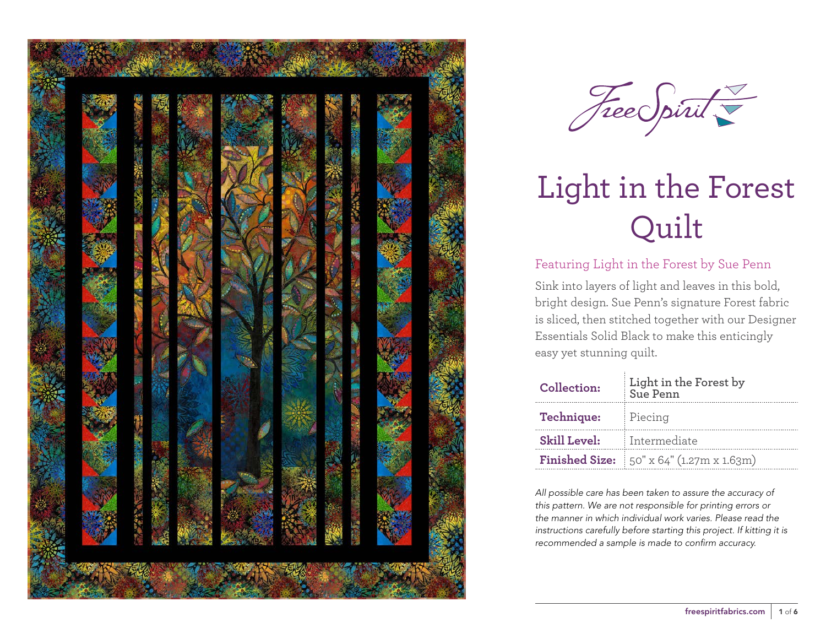

Free Spirit

## Featuring Light in the Forest by Sue Penn

Sink into layers of light and leaves in this bold, bright design. Sue Penn's signature Forest fabric is sliced, then stitched together with our Designer Essentials Solid Black to make this enticingly easy yet stunning quilt.

| Collection:         | Light in the Forest by<br>Sue Penn                            |  |  |  |  |
|---------------------|---------------------------------------------------------------|--|--|--|--|
| Technique:          | Piecing                                                       |  |  |  |  |
| <b>Skill Level:</b> | Intermediate                                                  |  |  |  |  |
|                     | <b>Finished Size:</b> $50'' \times 64'' (1.27m \times 1.63m)$ |  |  |  |  |

*All possible care has been taken to assure the accuracy of this pattern. We are not responsible for printing errors or the manner in which individual work varies. Please read the instructions carefully before starting this project. If kitting it is recommended a sample is made to confirm accuracy.*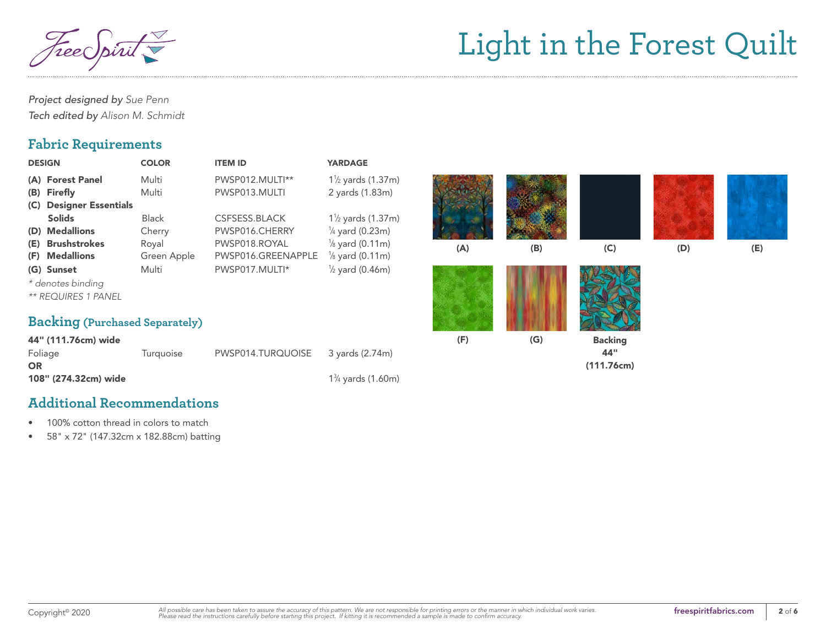*Project designed by Sue Penn Tech edited by Alison M. Schmidt*

## **Fabric Requirements**

| <b>DESIGN</b>                                                                                                                            | <b>COLOR</b>                                   | <b>ITEM ID</b>                                                         | <b>YARDAGE</b>                                                                                                         |     |     |                                     |     |     |
|------------------------------------------------------------------------------------------------------------------------------------------|------------------------------------------------|------------------------------------------------------------------------|------------------------------------------------------------------------------------------------------------------------|-----|-----|-------------------------------------|-----|-----|
| (A) Forest Panel<br><b>Firefly</b><br>(B)                                                                                                | Multi<br>Multi                                 | PWSP012.MULTI**<br>PWSP013.MULTI                                       | 1 <sup>1</sup> / <sub>2</sub> yards (1.37m)<br>2 yards (1.83m)                                                         |     |     |                                     |     |     |
| <b>Designer Essentials</b><br>(C)<br><b>Solids</b><br><b>Medallions</b><br>(D)<br><b>Brushstrokes</b><br>(E)<br><b>Medallions</b><br>(F) | <b>Black</b><br>Cherry<br>Royal<br>Green Apple | CSFSESS.BLACK<br>PWSP016.CHERRY<br>PWSP018.ROYAL<br>PWSP016.GREENAPPLE | $1\frac{1}{2}$ yards (1.37m)<br>$\frac{1}{4}$ yard (0.23m)<br>$\frac{1}{8}$ yard (0.11m)<br>$\frac{1}{8}$ yard (0.11m) | (A) | (B) | (C)                                 | (D) | (E) |
| (G) Sunset<br>* denotes binding<br><b>** REQUIRES 1 PANEL</b>                                                                            | Multi                                          | PWSP017.MULTI*                                                         | $\frac{1}{2}$ yard (0.46m)                                                                                             |     |     |                                     |     |     |
| <b>Backing (Purchased Separately)</b>                                                                                                    |                                                |                                                                        |                                                                                                                        |     |     |                                     |     |     |
| 44" (111.76cm) wide<br>Foliage<br><b>OR</b>                                                                                              | Turquoise                                      | PWSP014.TURQUOISE                                                      | 3 yards (2.74m)                                                                                                        | (F) | (G) | <b>Backing</b><br>44"<br>(111.76cm) |     |     |

⁄4 yards (1.60m)

### **Additional Recommendations**

108" (274.32cm) wide 13

- 100% cotton thread in colors to match
- 58" x 72" (147.32cm x 182.88cm) batting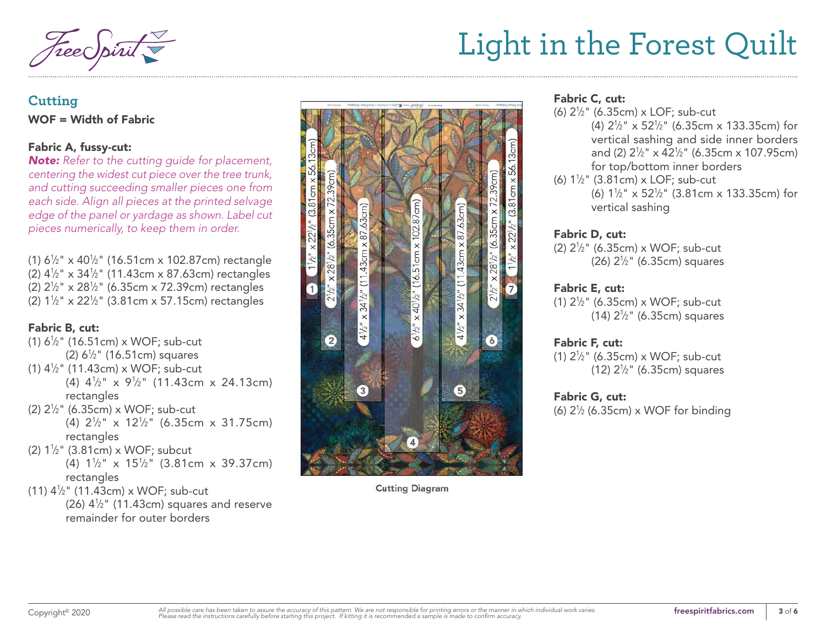## **Cutting** WOF = Width of Fabric

#### Fabric A, fussy-cut:

*Note: Refer to the cutting guide for placement, centering the widest cut piece over the tree trunk, and cutting succeeding smaller pieces one from each side. Align all pieces at the printed selvage edge of the panel or yardage as shown. Label cut pieces numerically, to keep them in order.*

(1) 6 1⁄2" x 40 1⁄2" (16.51cm x 102.87cm) rectangle (2) 4 1⁄2" x 34 1⁄2" (11.43cm x 87.63cm) rectangles (2) 2 1⁄2" x 28 1⁄2" (6.35cm x 72.39cm) rectangles (2) 1 1⁄2" x 22 1⁄2" (3.81cm x 57.15cm) rectangles

#### Fabric B, cut:

- (1) 6 1⁄2" (16.51cm) x WOF; sub-cut (2) 6 1⁄2" (16.51cm) squares (1) 4 1⁄2" (11.43cm) x WOF; sub-cut (4)  $4\frac{1}{2}$ " x  $9\frac{1}{2}$ " (11.43cm x 24.13cm) rectangles
- (2) 2 1⁄2" (6.35cm) x WOF; sub-cut (4) 2 1 ⁄2" x 12 1 ⁄2" (6.35cm x 31.75cm) rectangles
- (2) 1 1⁄2" (3.81cm) x WOF; subcut (4)  $1\frac{1}{2}$ " x  $15\frac{1}{2}$ " (3.81cm x 39.37cm) rectangles
- (11) 4 1⁄2" (11.43cm) x WOF; sub-cut

 $(26)$  4<sup> $1/2$ </sup>" (11.43cm) squares and reserve remainder for outer borders



**Cutting Diagram** 

#### Fabric C, cut:

- (6) 2 1⁄2" (6.35cm) x LOF; sub-cut (4)  $2\frac{1}{2}$ " x 52 $\frac{1}{2}$ " (6.35cm x 133.35cm) for vertical sashing and side inner borders and (2) 2 1⁄2" x 42 1⁄2" (6.35cm x 107.95cm) for top/bottom inner borders
- (6) 1 1⁄2" (3.81cm) x LOF; sub-cut (6)  $1\frac{1}{2}$ " x 52<sup>1</sup>/<sub>2</sub>" (3.81cm x 133.35cm) for vertical sashing

#### Fabric D, cut:

(2) 2 1⁄2" (6.35cm) x WOF; sub-cut (26) 2 1⁄2" (6.35cm) squares

#### Fabric E, cut:

(1) 2 1⁄2" (6.35cm) x WOF; sub-cut (14) 2 1⁄2" (6.35cm) squares

#### Fabric F, cut:

(1) 2 1⁄2" (6.35cm) x WOF; sub-cut (12) 2 1⁄2" (6.35cm) squares

#### Fabric G, cut:

(6) 2 1⁄2 (6.35cm) x WOF for binding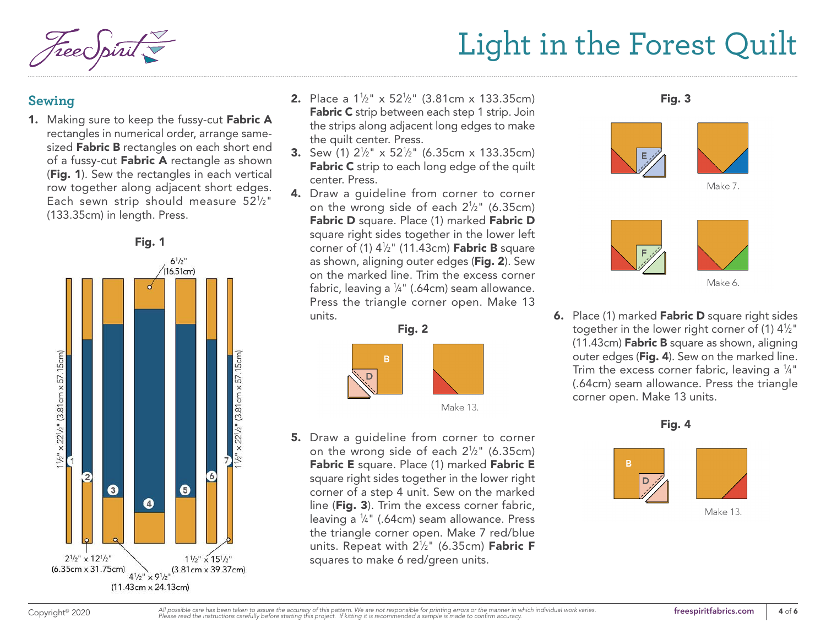## **Sewing**

1. Making sure to keep the fussy-cut Fabric A rectangles in numerical order, arrange samesized Fabric B rectangles on each short end of a fussy-cut Fabric A rectangle as shown (Fig. 1). Sew the rectangles in each vertical row together along adjacent short edges. Each sewn strip should measure  $52\frac{1}{2}$ " (133.35cm) in length. Press.



- **2.** Place a  $1\frac{1}{2}$ " x  $52\frac{1}{2}$ " (3.81cm x 133.35cm) Fabric C strip between each step 1 strip. Join the strips along adjacent long edges to make the quilt center. Press.
- **3.** Sew (1)  $2\frac{1}{2}$ " x 52 $\frac{1}{2}$ " (6.35cm x 133.35cm) Fabric C strip to each long edge of the quilt center. Press.
- 4. Draw a quideline from corner to corner on the wrong side of each  $2\frac{1}{2}$ " (6.35cm) Fabric D square. Place (1) marked Fabric D square right sides together in the lower left corner of (1) 4½" (11.43cm) **Fabric B** square as shown, aligning outer edges (Fig. 2). Sew on the marked line. Trim the excess corner fabric, leaving a ¼" (.64cm) seam allowance. Press the triangle corner open. Make 13 units.



5. Draw a guideline from corner to corner on the wrong side of each  $2\frac{1}{2}$ " (6.35cm) Fabric E square. Place (1) marked Fabric E square right sides together in the lower right corner of a step 4 unit. Sew on the marked line (Fig. 3). Trim the excess corner fabric, leaving a 1 ⁄4" (.64cm) seam allowance. Press the triangle corner open. Make 7 red/blue units. Repeat with 2½" (6.35cm) **Fabric F** squares to make 6 red/green units.







**6.** Place (1) marked **Fabric D** square right sides together in the lower right corner of (1)  $4\frac{1}{2}$ " (11.43cm) **Fabric B** square as shown, aligning outer edges (Fig. 4). Sew on the marked line. Trim the excess corner fabric, leaving a  $\frac{1}{4}$ " (.64cm) seam allowance. Press the triangle corner open. Make 13 units.

Fig. 4



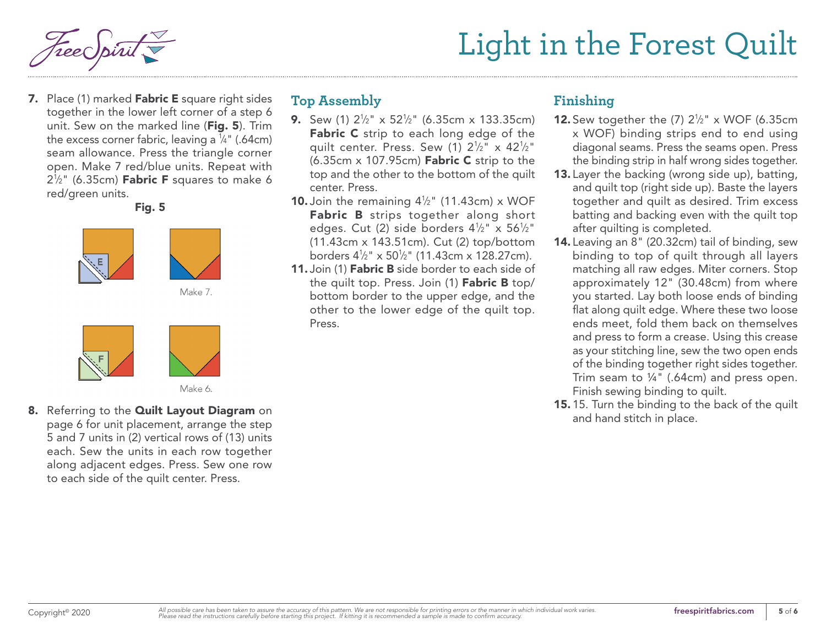7. Place (1) marked Fabric E square right sides together in the lower left corner of a step 6 unit. Sew on the marked line (Fig. 5). Trim the excess corner fabric, leaving a  $\frac{1}{4}$ " (.64cm) seam allowance. Press the triangle corner open. Make 7 red/blue units. Repeat with  $2\frac{1}{2}$ " (6.35cm) Fabric F squares to make 6 red/green units.

Fig. 5



## **Top Assembly**

- **9.** Sew (1)  $2\frac{1}{2}$ " x 52 $\frac{1}{2}$ " (6.35cm x 133.35cm) Fabric C strip to each long edge of the quilt center. Press. Sew (1)  $2\frac{1}{2}$ " x 42 $\frac{1}{2}$ "  $(6.35cm \times 107.95cm)$  Fabric C strip to the top and the other to the bottom of the quilt center. Press.
- **10.** Join the remaining  $4\frac{1}{2}$ " (11.43cm) x WOF Fabric B strips together along short edges. Cut (2) side borders 41 ⁄2" x 561 ⁄2" (11.43cm x 143.51cm). Cut (2) top/bottom borders 41 ⁄2" x 501 ⁄2" (11.43cm x 128.27cm).
- 11. Join (1) **Fabric B** side border to each side of the quilt top. Press. Join (1) Fabric B top/ bottom border to the upper edge, and the other to the lower edge of the quilt top. Press.

## **Finishing**

- **12.** Sew together the  $(7)$   $2\frac{1}{2}$ " x WOF  $(6.35cm)$ x WOF) binding strips end to end using diagonal seams. Press the seams open. Press the binding strip in half wrong sides together.
- 13. Layer the backing (wrong side up), batting, and quilt top (right side up). Baste the layers together and quilt as desired. Trim excess batting and backing even with the quilt top after quilting is completed.
- 14. Leaving an 8" (20.32cm) tail of binding, sew binding to top of quilt through all layers matching all raw edges. Miter corners. Stop approximately 12" (30.48cm) from where you started. Lay both loose ends of binding flat along quilt edge. Where these two loose ends meet, fold them back on themselves and press to form a crease. Using this crease as your stitching line, sew the two open ends of the binding together right sides together. Trim seam to ¼" (.64cm) and press open. Finish sewing binding to quilt.
- 15. 15. Turn the binding to the back of the quilt and hand stitch in place.

8. Referring to the Quilt Layout Diagram on page 6 for unit placement, arrange the step 5 and 7 units in (2) vertical rows of (13) units each. Sew the units in each row together along adjacent edges. Press. Sew one row to each side of the quilt center. Press.

Make 6.